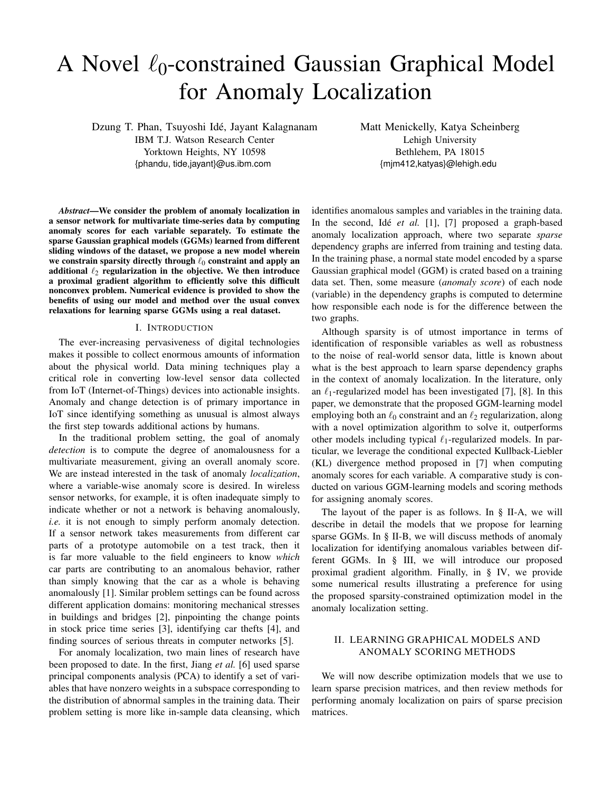# A Novel  $\ell_0$ -constrained Gaussian Graphical Model for Anomaly Localization

Dzung T. Phan, Tsuyoshi Idé, Jayant Kalagnanam IBM T.J. Watson Research Center

> Yorktown Heights, NY 10598 {phandu, tide,jayant}@us.ibm.com

Matt Menickelly, Katya Scheinberg Lehigh University Bethlehem, PA 18015 {mjm412,katyas}@lehigh.edu

*Abstract*—We consider the problem of anomaly localization in a sensor network for multivariate time-series data by computing anomaly scores for each variable separately. To estimate the sparse Gaussian graphical models (GGMs) learned from different sliding windows of the dataset, we propose a new model wherein we constrain sparsity directly through  $\ell_0$  constraint and apply an additional  $\ell_2$  regularization in the objective. We then introduce a proximal gradient algorithm to efficiently solve this difficult nonconvex problem. Numerical evidence is provided to show the benefits of using our model and method over the usual convex relaxations for learning sparse GGMs using a real dataset.

### I. INTRODUCTION

The ever-increasing pervasiveness of digital technologies makes it possible to collect enormous amounts of information about the physical world. Data mining techniques play a critical role in converting low-level sensor data collected from IoT (Internet-of-Things) devices into actionable insights. Anomaly and change detection is of primary importance in IoT since identifying something as unusual is almost always the first step towards additional actions by humans.

In the traditional problem setting, the goal of anomaly *detection* is to compute the degree of anomalousness for a multivariate measurement, giving an overall anomaly score. We are instead interested in the task of anomaly *localization*, where a variable-wise anomaly score is desired. In wireless sensor networks, for example, it is often inadequate simply to indicate whether or not a network is behaving anomalously, *i.e.* it is not enough to simply perform anomaly detection. If a sensor network takes measurements from different car parts of a prototype automobile on a test track, then it is far more valuable to the field engineers to know *which* car parts are contributing to an anomalous behavior, rather than simply knowing that the car as a whole is behaving anomalously [1]. Similar problem settings can be found across different application domains: monitoring mechanical stresses in buildings and bridges [2], pinpointing the change points in stock price time series [3], identifying car thefts [4], and finding sources of serious threats in computer networks [5].

For anomaly localization, two main lines of research have been proposed to date. In the first, Jiang *et al.* [6] used sparse principal components analysis (PCA) to identify a set of variables that have nonzero weights in a subspace corresponding to the distribution of abnormal samples in the training data. Their problem setting is more like in-sample data cleansing, which identifies anomalous samples and variables in the training data. In the second, Idé *et al.* [1], [7] proposed a graph-based anomaly localization approach, where two separate *sparse* dependency graphs are inferred from training and testing data. In the training phase, a normal state model encoded by a sparse Gaussian graphical model (GGM) is crated based on a training data set. Then, some measure (*anomaly score*) of each node (variable) in the dependency graphs is computed to determine how responsible each node is for the difference between the two graphs.

Although sparsity is of utmost importance in terms of identification of responsible variables as well as robustness to the noise of real-world sensor data, little is known about what is the best approach to learn sparse dependency graphs in the context of anomaly localization. In the literature, only an  $\ell_1$ -regularized model has been investigated [7], [8]. In this paper, we demonstrate that the proposed GGM-learning model employing both an  $\ell_0$  constraint and an  $\ell_2$  regularization, along with a novel optimization algorithm to solve it, outperforms other models including typical  $\ell_1$ -regularized models. In particular, we leverage the conditional expected Kullback-Liebler (KL) divergence method proposed in [7] when computing anomaly scores for each variable. A comparative study is conducted on various GGM-learning models and scoring methods for assigning anomaly scores.

The layout of the paper is as follows. In § II-A, we will describe in detail the models that we propose for learning sparse GGMs. In § II-B, we will discuss methods of anomaly localization for identifying anomalous variables between different GGMs. In § III, we will introduce our proposed proximal gradient algorithm. Finally, in § IV, we provide some numerical results illustrating a preference for using the proposed sparsity-constrained optimization model in the anomaly localization setting.

## II. LEARNING GRAPHICAL MODELS AND ANOMALY SCORING METHODS

We will now describe optimization models that we use to learn sparse precision matrices, and then review methods for performing anomaly localization on pairs of sparse precision matrices.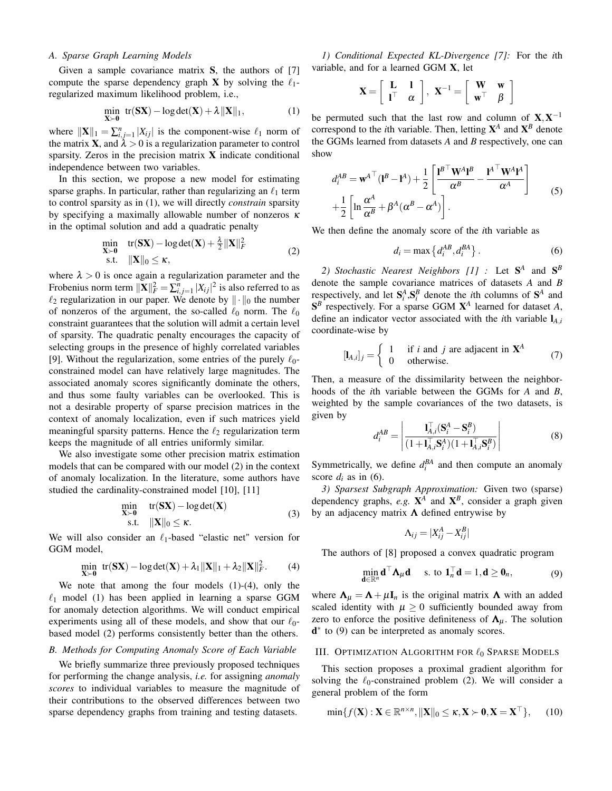## *A. Sparse Graph Learning Models*

Given a sample covariance matrix S, the authors of [7] compute the sparse dependency graph X by solving the  $\ell_1$ regularized maximum likelihood problem, i.e.,

$$
\min_{\mathbf{X}\succ\mathbf{0}} \text{ tr}(\mathbf{S}\mathbf{X}) - \log \det(\mathbf{X}) + \lambda \|\mathbf{X}\|_1, \tag{1}
$$

where  $\|\mathbf{X}\|_1 = \sum_{i,j=1}^n |X_{ij}|$  is the component-wise  $\ell_1$  norm of the matrix **X**, and  $\lambda > 0$  is a regularization parameter to control sparsity. Zeros in the precision matrix  $X$  indicate conditional independence between two variables.

In this section, we propose a new model for estimating sparse graphs. In particular, rather than regularizing an  $\ell_1$  term to control sparsity as in (1), we will directly *constrain* sparsity by specifying a maximally allowable number of nonzeros  $\kappa$ in the optimal solution and add a quadratic penalty

$$
\min_{\mathbf{X}\succ\mathbf{0}} \quad \text{tr}(\mathbf{S}\mathbf{X}) - \log \det(\mathbf{X}) + \frac{\lambda}{2} \|\mathbf{X}\|_F^2
$$
\n
$$
\text{s.t.} \quad \|\mathbf{X}\|_0 \le \kappa,\tag{2}
$$

where  $\lambda > 0$  is once again a regularization parameter and the Frobenius norm term  $\|\mathbf{X}\|_F^2 = \sum_{i,j=1}^n |X_{ij}|^2$  is also referred to as  $\ell_2$  regularization in our paper. We denote by  $\|\cdot\|_0$  the number of nonzeros of the argument, the so-called  $\ell_0$  norm. The  $\ell_0$ constraint guarantees that the solution will admit a certain level of sparsity. The quadratic penalty encourages the capacity of selecting groups in the presence of highly correlated variables [9]. Without the regularization, some entries of the purely  $\ell_0$ constrained model can have relatively large magnitudes. The associated anomaly scores significantly dominate the others, and thus some faulty variables can be overlooked. This is not a desirable property of sparse precision matrices in the context of anomaly localization, even if such matrices yield meaningful sparsity patterns. Hence the  $\ell_2$  regularization term keeps the magnitude of all entries uniformly similar.

We also investigate some other precision matrix estimation models that can be compared with our model (2) in the context of anomaly localization. In the literature, some authors have studied the cardinality-constrained model [10], [11]

$$
\min_{\mathbf{X} \succ \mathbf{0}} \quad \text{tr}(\mathbf{S}\mathbf{X}) - \log \det(\mathbf{X}) \n\text{s.t.} \quad \|\mathbf{X}\|_0 \le \kappa.
$$
\n(3)

We will also consider an  $\ell_1$ -based "elastic net" version for GGM model,

$$
\min_{\mathbf{X}\succ\mathbf{0}} \text{ tr}(\mathbf{S}\mathbf{X}) - \log \det(\mathbf{X}) + \lambda_1 \|\mathbf{X}\|_1 + \lambda_2 \|\mathbf{X}\|_F^2. \tag{4}
$$

We note that among the four models  $(1)-(4)$ , only the  $\ell_1$  model (1) has been applied in learning a sparse GGM for anomaly detection algorithms. We will conduct empirical experiments using all of these models, and show that our  $\ell_0$ based model (2) performs consistently better than the others.

### *B. Methods for Computing Anomaly Score of Each Variable*

We briefly summarize three previously proposed techniques for performing the change analysis, *i.e.* for assigning *anomaly scores* to individual variables to measure the magnitude of their contributions to the observed differences between two sparse dependency graphs from training and testing datasets.

*1) Conditional Expected KL-Divergence [7]:* For the *i*th variable, and for a learned GGM X, let

$$
\mathbf{X} = \left[ \begin{array}{cc} \mathbf{L} & \mathbf{l} \\ \mathbf{l}^\top & \alpha \end{array} \right], \ \mathbf{X}^{-1} = \left[ \begin{array}{cc} \mathbf{W} & \mathbf{w} \\ \mathbf{w}^\top & \beta \end{array} \right]
$$

be permuted such that the last row and column of  $X, X^{-1}$ correspond to the *i*th variable. Then, letting  $X^A$  and  $X^B$  denote the GGMs learned from datasets *A* and *B* respectively, one can show

$$
d_i^{AB} = \mathbf{w}^{A\top} (\mathbf{l}^B - \mathbf{l}^A) + \frac{1}{2} \left[ \frac{\mathbf{l}^{B\top} \mathbf{W}^A \mathbf{l}^B}{\alpha^B} - \frac{\mathbf{l}^{A\top} \mathbf{W}^A \mathbf{l}^A}{\alpha^A} \right] + \frac{1}{2} \left[ \ln \frac{\alpha^A}{\alpha^B} + \beta^A (\alpha^B - \alpha^A) \right].
$$
 (5)

We then define the anomaly score of the *i*th variable as

$$
d_i = \max\left\{d_i^{AB}, d_i^{BA}\right\}.
$$
 (6)

2) Stochastic Nearest Neighbors  $[1]$  : Let  $S^A$  and  $S^B$ denote the sample covariance matrices of datasets *A* and *B* respectively, and let  $S_i^A$ ,  $S_i^B$  denote the *i*<sup>th</sup> columns of  $S^A$  and  $S^B$  respectively. For a sparse GGM  $X^A$  learned for dataset *A*, define an indicator vector associated with the *i*th variable  $I_{A,i}$ coordinate-wise by

$$
[\mathbf{l}_{A,i}]_j = \begin{cases} 1 & \text{if } i \text{ and } j \text{ are adjacent in } \mathbf{X}^A \\ 0 & \text{otherwise.} \end{cases}
$$
 (7)

Then, a measure of the dissimilarity between the neighborhoods of the *i*th variable between the GGMs for *A* and *B*, weighted by the sample covariances of the two datasets, is given by

$$
d_i^{AB} = \left| \frac{\mathbf{I}_{A,i}^\top (\mathbf{S}_i^A - \mathbf{S}_i^B)}{(1 + \mathbf{I}_{A,i}^\top \mathbf{S}_i^A)(1 + \mathbf{I}_{A,i}^\top \mathbf{S}_i^B)} \right| \tag{8}
$$

Symmetrically, we define  $d_i^{BA}$  and then compute an anomaly score  $d_i$  as in (6).

*3) Sparsest Subgraph Approximation:* Given two (sparse) dependency graphs, *e.g.*  $X^A$  and  $X^B$ , consider a graph given by an adjacency matrix  $\Lambda$  defined entrywise by

$$
\Lambda_{ij} = |X_{ij}^A - X_{ij}^B|
$$

The authors of [8] proposed a convex quadratic program

$$
\min_{\mathbf{d}\in\mathbb{R}^n} \mathbf{d}^\top \mathbf{A}_{\mu} \mathbf{d} \quad \text{ s. to } \mathbf{1}_n^\top \mathbf{d} = 1, \mathbf{d} \ge \mathbf{0}_n,\tag{9}
$$

where  $\Lambda_{\mu} = \Lambda + \mu I_n$  is the original matrix  $\Lambda$  with an added scaled identity with  $\mu \geq 0$  sufficiently bounded away from zero to enforce the positive definiteness of  $\Lambda_{\mu}$ . The solution d<sup>∗</sup> to (9) can be interpreted as anomaly scores.

## III. OPTIMIZATION ALGORITHM FOR  $\ell_0$  SPARSE MODELS

This section proposes a proximal gradient algorithm for solving the  $\ell_0$ -constrained problem (2). We will consider a general problem of the form

$$
\min\{f(\mathbf{X}): \mathbf{X} \in \mathbb{R}^{n \times n}, \|\mathbf{X}\|_{0} \leq \kappa, \mathbf{X} \succ \mathbf{0}, \mathbf{X} = \mathbf{X}^{\top}\},\qquad(10)
$$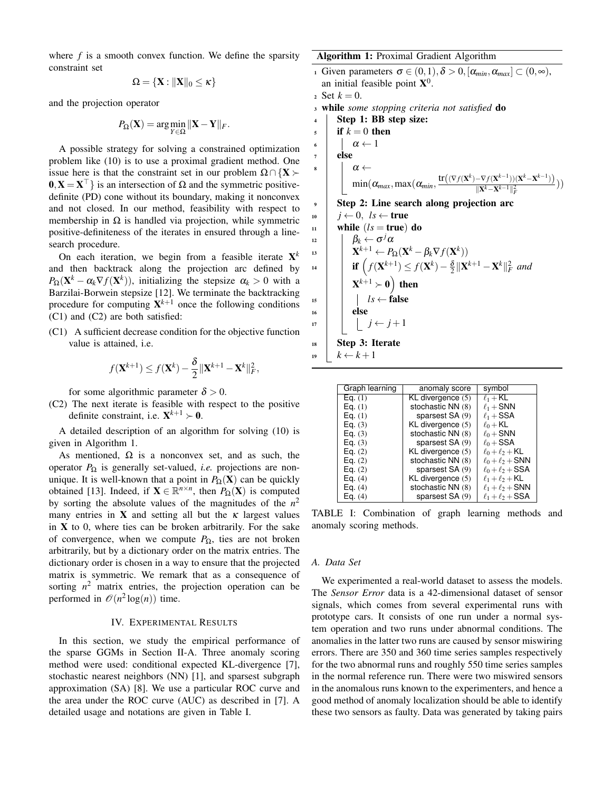where  $f$  is a smooth convex function. We define the sparsity constraint set

$$
\Omega = \{ \mathbf{X} : ||\mathbf{X}||_0 \leq \kappa \}
$$

and the projection operator

$$
P_{\Omega}(\mathbf{X}) = \arg\min_{Y \in \Omega} \|\mathbf{X} - \mathbf{Y}\|_F.
$$

A possible strategy for solving a constrained optimization problem like (10) is to use a proximal gradient method. One issue here is that the constraint set in our problem  $\Omega \cap {\bf{X}} \succ$  $0, X = X^{\top}$  is an intersection of  $\Omega$  and the symmetric positivedefinite (PD) cone without its boundary, making it nonconvex and not closed. In our method, feasibility with respect to membership in  $\Omega$  is handled via projection, while symmetric positive-definiteness of the iterates in ensured through a linesearch procedure.

On each iteration, we begin from a feasible iterate  $X^k$ and then backtrack along the projection arc defined by  $P_{\Omega}(\mathbf{X}^k - \alpha_k \nabla f(\mathbf{X}^k))$ , initializing the stepsize  $\alpha_k > 0$  with a Barzilai-Borwein stepsize [12]. We terminate the backtracking procedure for computing  $X^{k+1}$  once the following conditions (C1) and (C2) are both satisfied:

(C1) A sufficient decrease condition for the objective function value is attained, i.e.

$$
f(\mathbf{X}^{k+1}) \leq f(\mathbf{X}^k) - \frac{\delta}{2} \|\mathbf{X}^{k+1} - \mathbf{X}^k\|_F^2,
$$

for some algorithmic parameter  $\delta > 0$ .

(C2) The next iterate is feasible with respect to the positive definite constraint, i.e.  $X^{k+1} \succ 0$ .

A detailed description of an algorithm for solving (10) is given in Algorithm 1.

As mentioned,  $\Omega$  is a nonconvex set, and as such, the operator *P*<sup>Ω</sup> is generally set-valued, *i.e.* projections are nonunique. It is well-known that a point in  $P_{\Omega}(X)$  can be quickly obtained [13]. Indeed, if  $X \in \mathbb{R}^{n \times n}$ , then  $P_{\Omega}(X)$  is computed by sorting the absolute values of the magnitudes of the  $n^2$ many entries in **X** and setting all but the  $\kappa$  largest values in  $X$  to 0, where ties can be broken arbitrarily. For the sake of convergence, when we compute *P*Ω, ties are not broken arbitrarily, but by a dictionary order on the matrix entries. The dictionary order is chosen in a way to ensure that the projected matrix is symmetric. We remark that as a consequence of sorting  $n^2$  matrix entries, the projection operation can be performed in  $\mathcal{O}(n^2 \log(n))$  time.

## IV. EXPERIMENTAL RESULTS

In this section, we study the empirical performance of the sparse GGMs in Section II-A. Three anomaly scoring method were used: conditional expected KL-divergence [7], stochastic nearest neighbors (NN) [1], and sparsest subgraph approximation (SA) [8]. We use a particular ROC curve and the area under the ROC curve (AUC) as described in [7]. A detailed usage and notations are given in Table I.

# Algorithm 1: Proximal Gradient Algorithm

- 1 Given parameters  $\sigma \in (0,1), \delta > 0, [\alpha_{min}, \alpha_{max}] \subset (0,\infty)$ , an initial feasible point  $X^0$ .
- 2 Set  $k = 0$ . <sup>3</sup> while *some stopping criteria not satisfied* do
- <sup>4</sup> Step 1: BB step size:

 $\mathbf{s}$  | if  $k = 0$  then

6  $\alpha \leftarrow 1$ 

 $7$  else

 $\begin{array}{c|c|c|c|c} \hline \hspace{0.2cm} 8 & \hspace{0.2cm} & \hspace{0.2cm} & \hspace{0.2cm} & \hspace{0.2cm} \alpha \leftarrow \end{array}$  $\min(\alpha_{max}, \max(\alpha_{min}, \frac{\text{tr}((\nabla f(\mathbf{X}^k)-\nabla f(\mathbf{X}^{k-1}))(\mathbf{X}^k-\mathbf{X}^{k-1}))}{\|\mathbf{X}^k-\mathbf{X}^{k-1}\|^2}$ <sup>*N*</sup>
<sup>*K*</sup>−**X**<sup>*k*−1</sup><sup>||2</sup></del>
<sup>*F*</sup>
<sup>*F*</sup>
<sup>*F*</sup>
<sup>*F*</sup>
<sup>*F*</sup>
<sup>*F*</sup>
<sup>*F*</sup>
<sup>*F*</sup>
<sup>*F*</sup>
<sup>*F*</sup>
<sup>*F*</sup>
<sup>*F*</sup>

<sup>9</sup> Step 2: Line search along projection arc  $i_0$   $j \leftarrow 0, \; ls \leftarrow true$  $11$  while  $(ls = true)$  do 12  $\left| \begin{array}{c} \beta_k \leftarrow \sigma^j \alpha \end{array} \right.$  $\mathbf{X}^{k+1} \leftarrow P_{\Omega}(\mathbf{X}^k - \beta_k \nabla f(\mathbf{X}^k))$ 14 **if**  $\left(f(\mathbf{X}^{k+1}) \leq f(\mathbf{X}^{k}) - \frac{\delta}{2} ||\mathbf{X}^{k+1} - \mathbf{X}^{k}||_F^2$  and  $X^{k+1} \succ 0$  then 15 *ls*  $\leftarrow$  false  $_{16}$  else 17 **j**  $j \leftarrow j+1$  $_{18}$  Step 3: Iterate 19  $k \leftarrow k+1$ 

| Graph learning | anomaly score     | symbol                      |
|----------------|-------------------|-----------------------------|
| Eq. $(1)$      | KL divergence (5) | $\ell_1 + \mathsf{KL}$      |
| Eq. $(1)$      | stochastic NN (8) | $\ell_1$ + SNN              |
| Eq. $(1)$      | sparsest $SA(9)$  | $\ell_1$ + SSA              |
| Eq. $(3)$      | KL divergence (5) | $\ell_0 + \mathsf{KL}$      |
| Eq. $(3)$      | stochastic NN (8) | $\ell_0$ + SNN              |
| Eq. $(3)$      | sparsest $SA(9)$  | $\ell_0$ + SSA              |
| Eq. $(2)$      | KL divergence (5) | $\ell_0+\ell_2+KL$          |
| Eq. $(2)$      | stochastic NN (8) | $\ell_0 + \ell_2 +$ SNN     |
| Eq. $(2)$      | sparsest $SA(9)$  | $\ell_0 + \ell_2 +$ SSA     |
| Eq. $(4)$      | KL divergence (5) | $\ell_1+\ell_2+\mathsf{KL}$ |
| Eq. $(4)$      | stochastic NN (8) | $\ell_1+\ell_2+\text{SNN}$  |
| Ea. (4)        | sparsest $SA(9)$  | $\ell_1 + \ell_2 +$ SSA     |

TABLE I: Combination of graph learning methods and anomaly scoring methods.

#### *A. Data Set*

We experimented a real-world dataset to assess the models. The *Sensor Error* data is a 42-dimensional dataset of sensor signals, which comes from several experimental runs with prototype cars. It consists of one run under a normal system operation and two runs under abnormal conditions. The anomalies in the latter two runs are caused by sensor miswiring errors. There are 350 and 360 time series samples respectively for the two abnormal runs and roughly 550 time series samples in the normal reference run. There were two miswired sensors in the anomalous runs known to the experimenters, and hence a good method of anomaly localization should be able to identify these two sensors as faulty. Data was generated by taking pairs